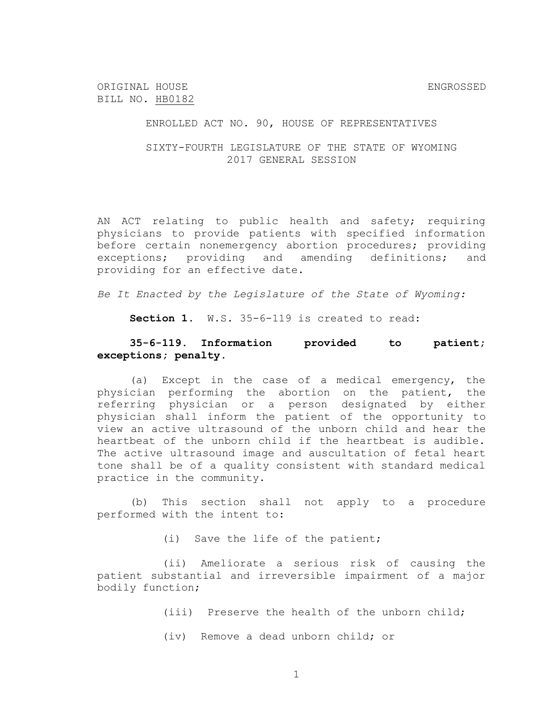ORIGINAL HOUSE ENGROSSED BILL NO. HB0182

ENROLLED ACT NO. 90, HOUSE OF REPRESENTATIVES

SIXTY-FOURTH LEGISLATURE OF THE STATE OF WYOMING 2017 GENERAL SESSION

AN ACT relating to public health and safety; requiring physicians to provide patients with specified information before certain nonemergency abortion procedures; providing exceptions; providing and amending definitions; and providing for an effective date.

*Be It Enacted by the Legislature of the State of Wyoming:*

**Section 1.** W.S. 35-6-119 is created to read:

## **35-6-119. Information provided to patient; exceptions; penalty.**

(a) Except in the case of a medical emergency, the physician performing the abortion on the patient, the referring physician or a person designated by either physician shall inform the patient of the opportunity to view an active ultrasound of the unborn child and hear the heartbeat of the unborn child if the heartbeat is audible. The active ultrasound image and auscultation of fetal heart tone shall be of a quality consistent with standard medical practice in the community.

(b) This section shall not apply to a procedure performed with the intent to:

(i) Save the life of the patient;

(ii) Ameliorate a serious risk of causing the patient substantial and irreversible impairment of a major bodily function;

(iii) Preserve the health of the unborn child;

(iv) Remove a dead unborn child; or